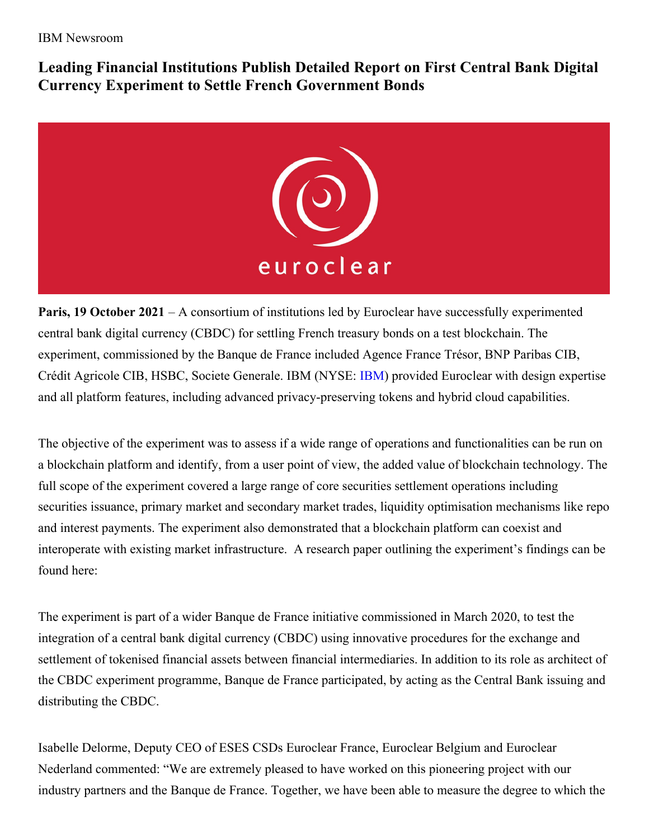IBM Newsroom

**Leading Financial Institutions Publish Detailed Report on First Central Bank Digital Currency Experiment to Settle French Government Bonds**



**Paris, 19 October 2021** – A consortium of institutions led by Euroclear have successfully experimented central bank digital currency (CBDC) for settling French treasury bonds on a test blockchain. The experiment, commissioned by the Banque de France included Agence France Trésor, BNP Paribas CIB, Crédit Agricole CIB, HSBC, Societe Generale. IBM (NYSE: [IBM](http://www.ibm.com/investor)) provided Euroclear with design expertise and all platform features, including advanced privacy-preserving tokens and hybrid cloud capabilities.

The objective of the experiment was to assess if a wide range of operations and functionalities can be run on a blockchain platform and identify, from a user point of view, the added value of blockchain technology. The full scope of the experiment covered a large range of core securities settlement operations including securities issuance, primary market and secondary market trades, liquidity optimisation mechanisms like repo and interest payments. The experiment also demonstrated that a blockchain platform can coexist and interoperate with existing market infrastructure. A research paper outlining the experiment's findings can be found here:

The experiment is part of a wider Banque de France initiative commissioned in March 2020, to test the integration of a central bank digital currency (CBDC) using innovative procedures for the exchange and settlement of tokenised financial assets between financial intermediaries. In addition to its role as architect of the CBDC experiment programme, Banque de France participated, by acting as the Central Bank issuing and distributing the CBDC.

Isabelle Delorme, Deputy CEO of ESES CSDs Euroclear France, Euroclear Belgium and Euroclear Nederland commented: "We are extremely pleased to have worked on this pioneering project with our industry partners and the Banque de France. Together, we have been able to measure the degree to which the